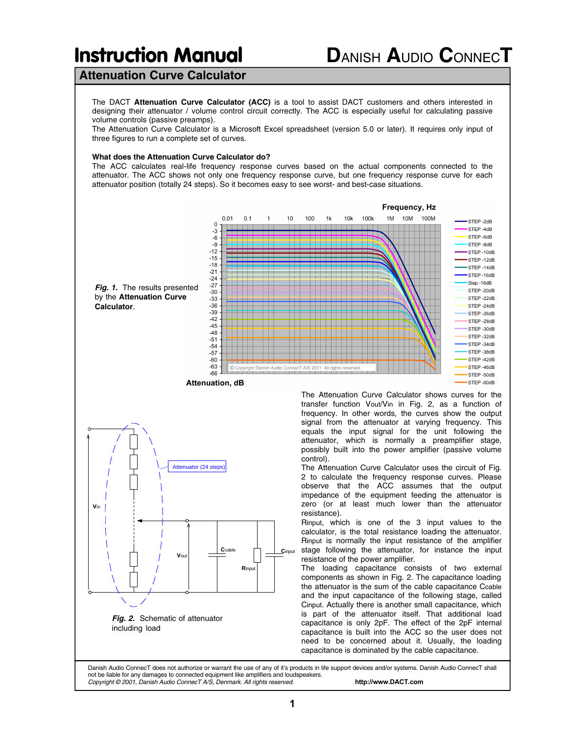# **Attenuation Curve Calculator**

The DACT **Attenuation Curve Calculator (ACC)** is a tool to assist DACT customers and others interested in designing their attenuator / volume control circuit correctly. The ACC is especially useful for calculating passive volume controls (passive preamps).

The Attenuation Curve Calculator is a Microsoft Excel spreadsheet (version 5.0 or later). It requires only input of three figures to run a complete set of curves.

### **What does the Attenuation Curve Calculator do?**

The ACC calculates real-life frequency response curves based on the actual components connected to the attenuator. The ACC shows not only one frequency response curve, but one frequency response curve for each attenuator position (totally 24 steps). So it becomes easy to see worst- and best-case situations.



Danish Audio ConnecT does not authorize or warrant the use of any of it's products in life support devices and/or systems. Danish Audio ConnecT shall not be liable for any damages to connected equipment like amplifiers and loudspeakers. *Copyright © 2001, Danish Audio ConnecT A/S, Denmark. All rights reserved.* **http://www.DACT.com**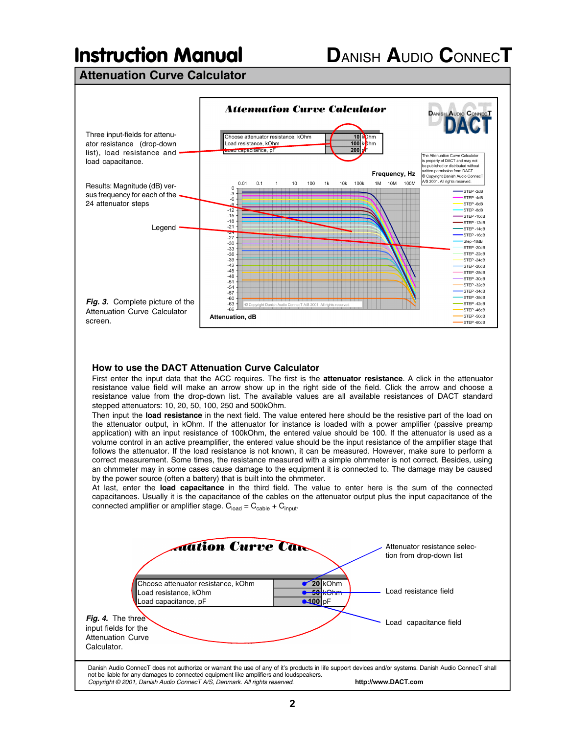**Attenuation Curve Calculator**



volume control in an active preamplifier, the entered value should be the input resistance of the amplifier stage that follows the attenuator. If the load resistance is not known, it can be measured. However, make sure to perform a correct measurement. Some times, the resistance measured with a simple ohmmeter is not correct. Besides, using an ohmmeter may in some cases cause damage to the equipment it is connected to. The damage may be caused by the power source (often a battery) that is built into the ohmmeter.

At last, enter the **load capacitance** in the third field. The value to enter here is the sum of the connected capacitances. Usually it is the capacitance of the cables on the attenuator output plus the input capacitance of the connected amplifier or amplifier stage.  $C_{load} = C_{cable} + C_{input}$ .